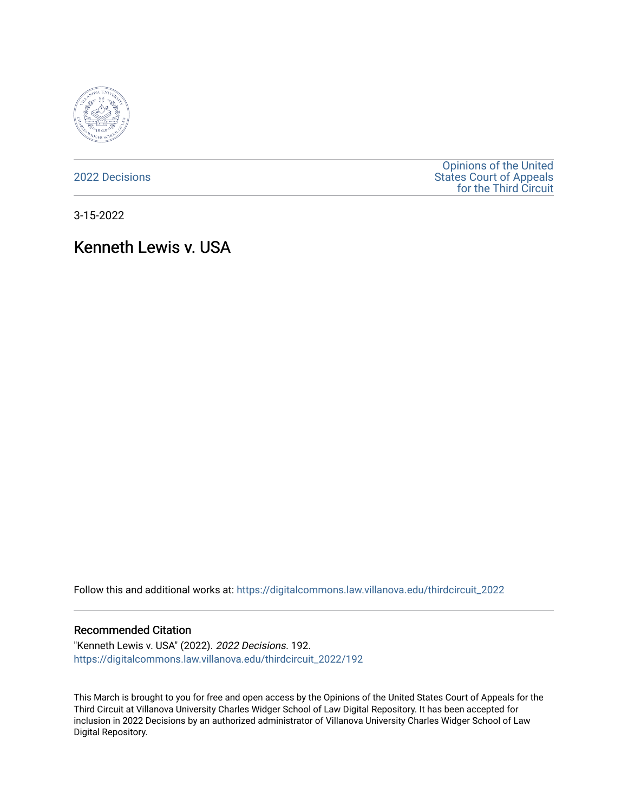

[2022 Decisions](https://digitalcommons.law.villanova.edu/thirdcircuit_2022)

[Opinions of the United](https://digitalcommons.law.villanova.edu/thirdcircuit)  [States Court of Appeals](https://digitalcommons.law.villanova.edu/thirdcircuit)  [for the Third Circuit](https://digitalcommons.law.villanova.edu/thirdcircuit) 

3-15-2022

# Kenneth Lewis v. USA

Follow this and additional works at: [https://digitalcommons.law.villanova.edu/thirdcircuit\\_2022](https://digitalcommons.law.villanova.edu/thirdcircuit_2022?utm_source=digitalcommons.law.villanova.edu%2Fthirdcircuit_2022%2F192&utm_medium=PDF&utm_campaign=PDFCoverPages) 

#### Recommended Citation

"Kenneth Lewis v. USA" (2022). 2022 Decisions. 192. [https://digitalcommons.law.villanova.edu/thirdcircuit\\_2022/192](https://digitalcommons.law.villanova.edu/thirdcircuit_2022/192?utm_source=digitalcommons.law.villanova.edu%2Fthirdcircuit_2022%2F192&utm_medium=PDF&utm_campaign=PDFCoverPages)

This March is brought to you for free and open access by the Opinions of the United States Court of Appeals for the Third Circuit at Villanova University Charles Widger School of Law Digital Repository. It has been accepted for inclusion in 2022 Decisions by an authorized administrator of Villanova University Charles Widger School of Law Digital Repository.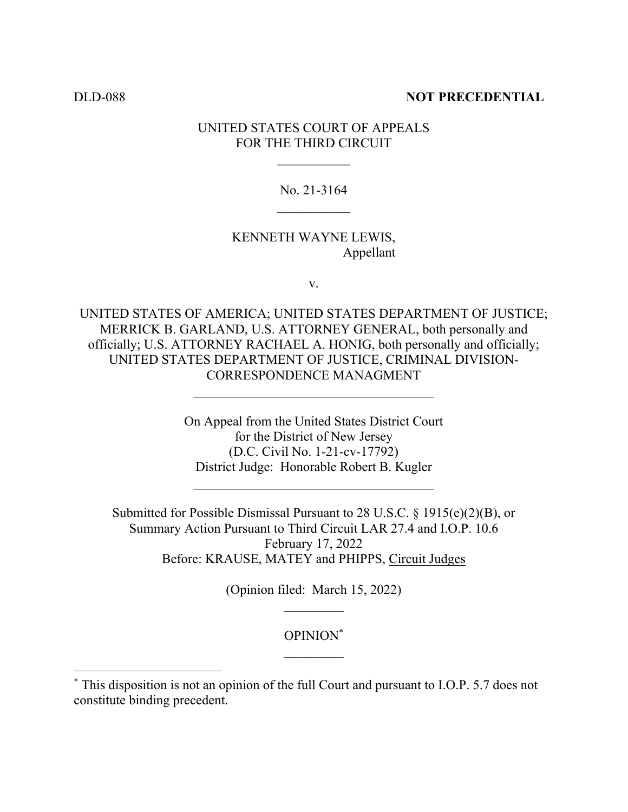## DLD-088 **NOT PRECEDENTIAL**

# UNITED STATES COURT OF APPEALS FOR THE THIRD CIRCUIT

## No. 21-3164

# KENNETH WAYNE LEWIS, Appellant

v.

UNITED STATES OF AMERICA; UNITED STATES DEPARTMENT OF JUSTICE; MERRICK B. GARLAND, U.S. ATTORNEY GENERAL, both personally and officially; U.S. ATTORNEY RACHAEL A. HONIG, both personally and officially; UNITED STATES DEPARTMENT OF JUSTICE, CRIMINAL DIVISION-CORRESPONDENCE MANAGMENT

 $\mathcal{L}_\text{max}$ 

On Appeal from the United States District Court for the District of New Jersey (D.C. Civil No. 1-21-cv-17792) District Judge: Honorable Robert B. Kugler

Submitted for Possible Dismissal Pursuant to 28 U.S.C. § 1915(e)(2)(B), or Summary Action Pursuant to Third Circuit LAR 27.4 and I.O.P. 10.6 February 17, 2022 Before: KRAUSE, MATEY and PHIPPS, Circuit Judges

> (Opinion filed: March 15, 2022)  $\mathcal{L}_\text{max}$

# OPINION\*  $\mathcal{L}_\text{max}$

<sup>\*</sup> This disposition is not an opinion of the full Court and pursuant to I.O.P. 5.7 does not constitute binding precedent.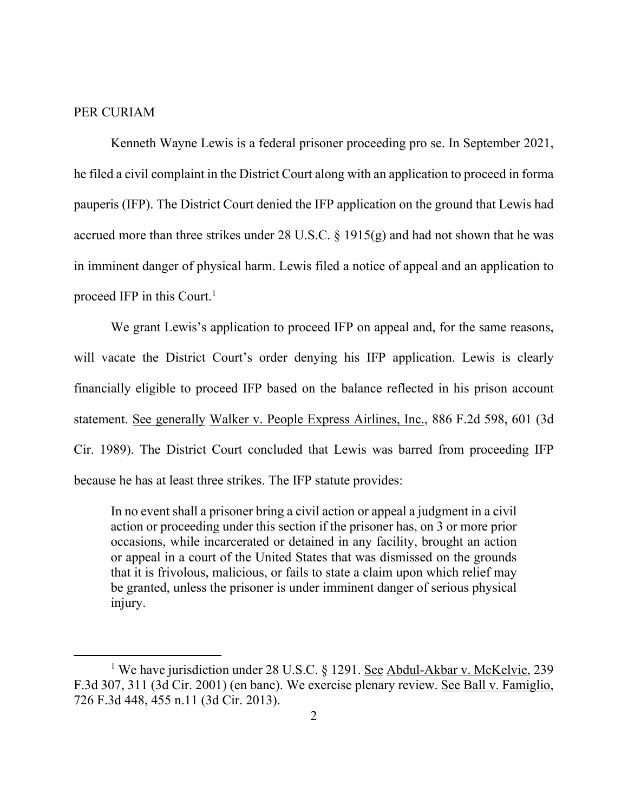#### PER CURIAM

 Kenneth Wayne Lewis is a federal prisoner proceeding pro se. In September 2021, he filed a civil complaint in the District Court along with an application to proceed in forma pauperis (IFP). The District Court denied the IFP application on the ground that Lewis had accrued more than three strikes under 28 U.S.C.  $\S$  1915(g) and had not shown that he was in imminent danger of physical harm. Lewis filed a notice of appeal and an application to proceed IFP in this Court. $<sup>1</sup>$ </sup>

We grant Lewis's application to proceed IFP on appeal and, for the same reasons, will vacate the District Court's order denying his IFP application. Lewis is clearly financially eligible to proceed IFP based on the balance reflected in his prison account statement. See generally Walker v. People Express Airlines, Inc., 886 F.2d 598, 601 (3d Cir. 1989). The District Court concluded that Lewis was barred from proceeding IFP because he has at least three strikes. The IFP statute provides:

In no event shall a prisoner bring a civil action or appeal a judgment in a civil action or proceeding under this section if the prisoner has, on 3 or more prior occasions, while incarcerated or detained in any facility, brought an action or appeal in a court of the United States that was dismissed on the grounds that it is frivolous, malicious, or fails to state a claim upon which relief may be granted, unless the prisoner is under imminent danger of serious physical injury.

<sup>&</sup>lt;sup>1</sup> We have jurisdiction under 28 U.S.C. § 1291. See Abdul-Akbar v. McKelvie, 239 F.3d 307, 311 (3d Cir. 2001) (en banc). We exercise plenary review. See Ball v. Famiglio, 726 F.3d 448, 455 n.11 (3d Cir. 2013).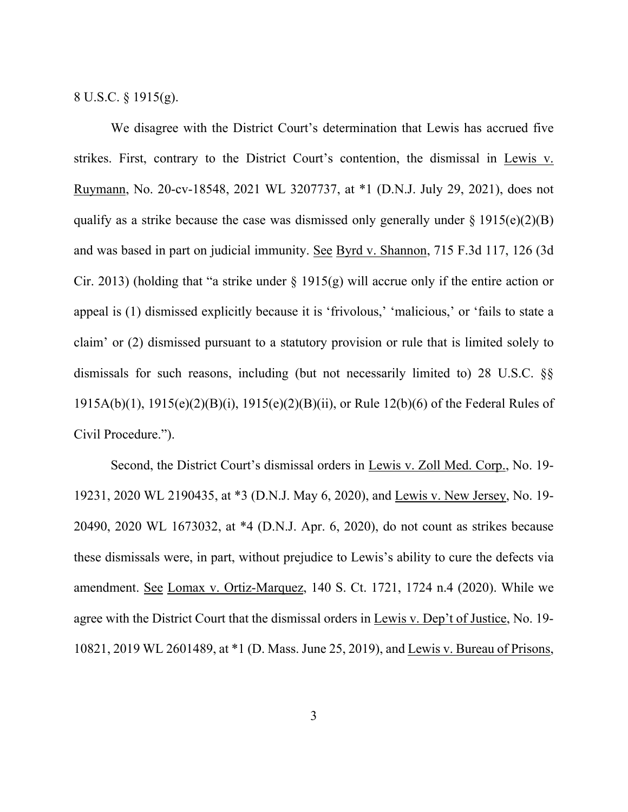8 U.S.C. § 1915(g).

 We disagree with the District Court's determination that Lewis has accrued five strikes. First, contrary to the District Court's contention, the dismissal in Lewis v. Ruymann, No. 20-cv-18548, 2021 WL 3207737, at \*1 (D.N.J. July 29, 2021), does not qualify as a strike because the case was dismissed only generally under  $\S 1915(e)(2)(B)$ and was based in part on judicial immunity. See Byrd v. Shannon, 715 F.3d 117, 126 (3d Cir. 2013) (holding that "a strike under  $\S$  1915(g) will accrue only if the entire action or appeal is (1) dismissed explicitly because it is 'frivolous,' 'malicious,' or 'fails to state a claim' or (2) dismissed pursuant to a statutory provision or rule that is limited solely to dismissals for such reasons, including (but not necessarily limited to) 28 U.S.C. §§ 1915A(b)(1), 1915(e)(2)(B)(i), 1915(e)(2)(B)(ii), or Rule 12(b)(6) of the Federal Rules of Civil Procedure.").

 Second, the District Court's dismissal orders in Lewis v. Zoll Med. Corp., No. 19- 19231, 2020 WL 2190435, at \*3 (D.N.J. May 6, 2020), and Lewis v. New Jersey, No. 19- 20490, 2020 WL 1673032, at \*4 (D.N.J. Apr. 6, 2020), do not count as strikes because these dismissals were, in part, without prejudice to Lewis's ability to cure the defects via amendment. See Lomax v. Ortiz-Marquez, 140 S. Ct. 1721, 1724 n.4 (2020). While we agree with the District Court that the dismissal orders in Lewis v. Dep't of Justice, No. 19-10821, 2019 WL 2601489, at \*1 (D. Mass. June 25, 2019), and Lewis v. Bureau of Prisons,